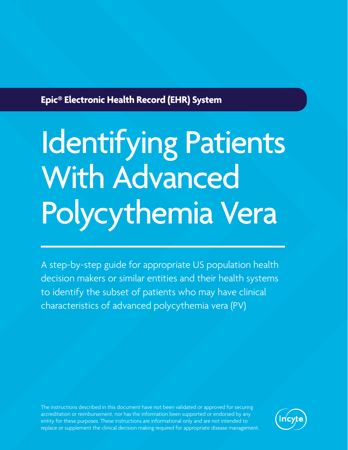## **Epic® Electronic Health Record (EHR) System**

# Identifying Patients With Advanced Polycythemia Vera

A step-by-step guide for appropriate US population health decision makers or similar entities and their health systems to identify the subset of patients who may have clinical characteristics of advanced polycythemia vera (PV)

The instructions described in this document have not been validated or approved for securing accreditation or reimbursement, nor has the information been supported or endorsed by any entity for these purposes. These instructions are informational only and are not intended to replace or supplement the clinical decision making required for appropriate disease management.

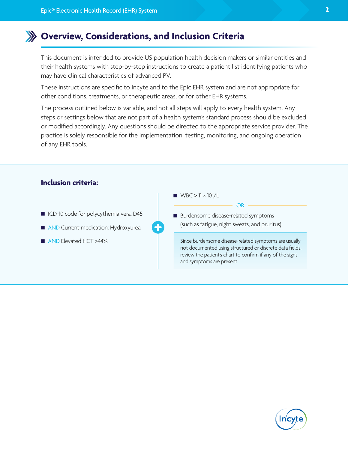### **Overview, Considerations, and Inclusion Criteria**

This document is intended to provide US population health decision makers or similar entities and their health systems with step-by-step instructions to create a patient list identifying patients who may have clinical characteristics of advanced PV.

These instructions are specific to Incyte and to the Epic EHR system and are not appropriate for other conditions, treatments, or therapeutic areas, or for other EHR systems.

The process outlined below is variable, and not all steps will apply to every health system. Any steps or settings below that are not part of a health system's standard process should be excluded or modified accordingly. Any questions should be directed to the appropriate service provider. The practice is solely responsible for the implementation, testing, monitoring, and ongoing operation of any EHR tools.



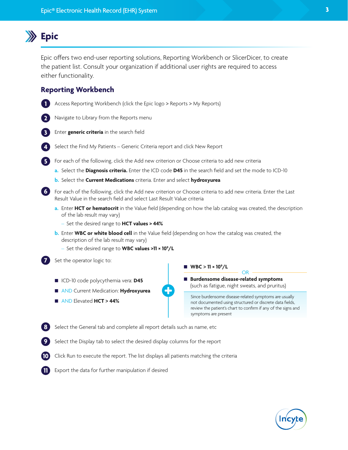## **Epic**

Epic offers two end-user reporting solutions, Reporting Workbench or SlicerDicer, to create the patient list. Consult your organization if additional user rights are required to access either functionality.

#### **Reporting Workbench**



**11** Export the data for further manipulation if desired

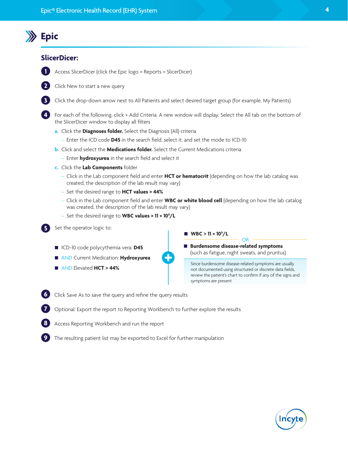## **Epic**

#### **SlicerDicer:**

- **1**
- Access SlicerDicer (click the Epic logo > Reports > SlicerDicer)
- **2 3**

**4**

**5**

**9**

Click the drop-down arrow next to All Patients and select desired target group (for example, My Patients)

- For each of the following, click + Add Criteria. A new window will display. Select the All tab on the bottom of the SlicerDicer window to display all filters
- **a.** Click the **Diagnoses folder.** Select the Diagnosis (All) criteria
	- Enter the ICD code **D45** in the search field, select it, and set the mode to ICD-10
- **b.** Click and select the **Medications folder.** Select the Current Medications criteria
	- Enter **hydroxyurea** in the search field and select it
- **c.** Click the **Lab Components** folder

Click New to start a new query

- Click in the Lab component field and enter **HCT or hematocrit** (depending on how the lab catalog was created, the description of the lab result may vary)
- Set the desired range to **HCT values > 44%**
- Click in the Lab component field and enter **WBC or white blood cell** (depending on how the lab catalog was created, the description of the lab result may vary)
- Set the desired range to **WBC values > 11 × 109 /L**
- Set the operator logic to:
	- ICD-10 code polycythemia vera: **D45**
	- AND Current Medication: **Hydroxyurea**
	- AND Elevated **HCT > 44%**



■ WBC  $> 11 \times 10^{9}$ /L

 **Burdensome disease-related symptoms** (such as fatigue, night sweats, and pruritus)

Since burdensome disease-related symptoms are usually not documented using structured or discrete data fields, review the patient's chart to confirm if any of the signs and symptoms are present

OR

- **6** Click Save As to save the query and refine the query results
- **7** Optional: Export the report to Reporting Workbench to further explore the results
- **8** Access Reporting Workbench and run the report
	- The resulting patient list may be exported to Excel for further manipulation